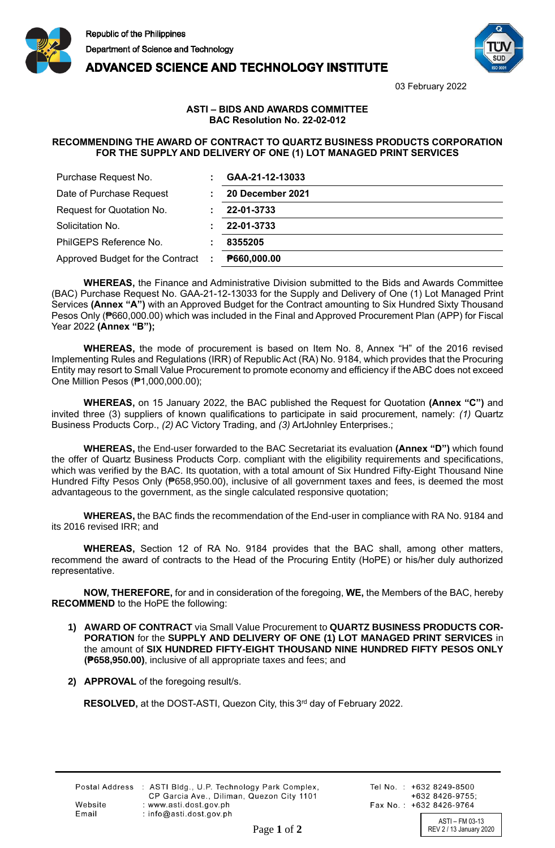

**ADVANCED SCIENCE AND TECHNOLOGY INSTITUTE** 



03 February 2022

## **ASTI – BIDS AND AWARDS COMMITTEE BAC Resolution No. 22-02-012**

## **RECOMMENDING THE AWARD OF CONTRACT TO QUARTZ BUSINESS PRODUCTS CORPORATION FOR THE SUPPLY AND DELIVERY OF ONE (1) LOT MANAGED PRINT SERVICES**

| Purchase Request No.             | GAA-21-12-13033  |
|----------------------------------|------------------|
| Date of Purchase Request         | 20 December 2021 |
| Request for Quotation No.        | 22-01-3733       |
| Solicitation No.                 | 22-01-3733       |
| PhilGEPS Reference No.           | 8355205          |
| Approved Budget for the Contract | P660,000.00      |

**WHEREAS,** the Finance and Administrative Division submitted to the Bids and Awards Committee (BAC) Purchase Request No. GAA-21-12-13033 for the Supply and Delivery of One (1) Lot Managed Print Services **(Annex "A")** with an Approved Budget for the Contract amounting to Six Hundred Sixty Thousand Pesos Only (₱660,000.00) which was included in the Final and Approved Procurement Plan (APP) for Fiscal Year 2022 **(Annex "B");**

**WHEREAS,** the mode of procurement is based on Item No. 8, Annex "H" of the 2016 revised Implementing Rules and Regulations (IRR) of Republic Act (RA) No. 9184, which provides that the Procuring Entity may resort to Small Value Procurement to promote economy and efficiency if the ABC does not exceed One Million Pesos (₱1,000,000.00);

**WHEREAS,** on 15 January 2022, the BAC published the Request for Quotation **(Annex "C")** and invited three (3) suppliers of known qualifications to participate in said procurement, namely: *(1)* Quartz Business Products Corp., *(2)* AC Victory Trading, and *(3)* ArtJohnley Enterprises.;

**WHEREAS,** the End-user forwarded to the BAC Secretariat its evaluation **(Annex "D")** which found the offer of Quartz Business Products Corp. compliant with the eligibility requirements and specifications, which was verified by the BAC. Its quotation, with a total amount of Six Hundred Fifty-Eight Thousand Nine Hundred Fifty Pesos Only (₱658,950.00), inclusive of all government taxes and fees, is deemed the most advantageous to the government, as the single calculated responsive quotation;

**WHEREAS,** the BAC finds the recommendation of the End-user in compliance with RA No. 9184 and its 2016 revised IRR; and

**WHEREAS,** Section 12 of RA No. 9184 provides that the BAC shall, among other matters, recommend the award of contracts to the Head of the Procuring Entity (HoPE) or his/her duly authorized representative.

**NOW, THEREFORE,** for and in consideration of the foregoing, **WE,** the Members of the BAC, hereby **RECOMMEND** to the HoPE the following:

- **1) AWARD OF CONTRACT** via Small Value Procurement to **QUARTZ BUSINESS PRODUCTS COR-PORATION** for the **SUPPLY AND DELIVERY OF ONE (1) LOT MANAGED PRINT SERVICES** in the amount of **SIX HUNDRED FIFTY-EIGHT THOUSAND NINE HUNDRED FIFTY PESOS ONLY (₱658,950.00)**, inclusive of all appropriate taxes and fees; and
- **2) APPROVAL** of the foregoing result/s.

RESOLVED, at the DOST-ASTI, Quezon City, this 3<sup>rd</sup> day of February 2022.